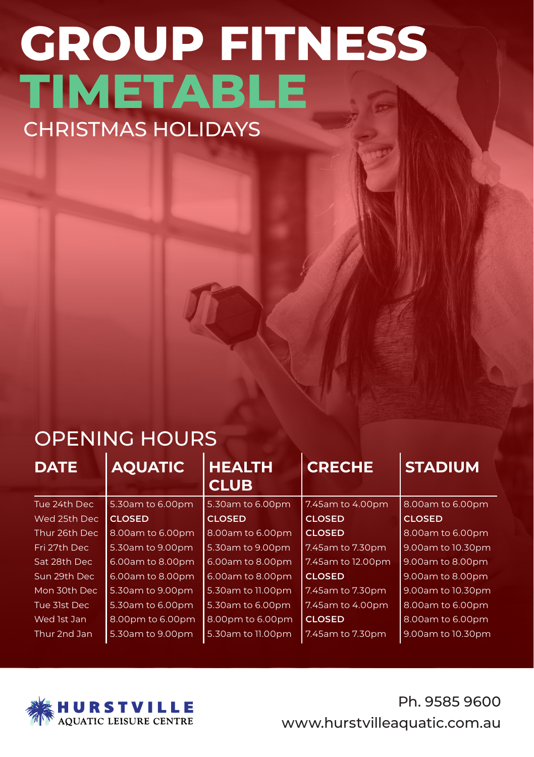## **GROUP FITNESS TIMETABLE** CHRISTMAS HOLIDAYS

## OPENING HOURS

| <b>DATE</b>   | <b>AQUATIC</b>   | <b>HEALTH</b><br><b>CLUB</b> | <b>CRECHE</b>     | <b>STADIUM</b>    |
|---------------|------------------|------------------------------|-------------------|-------------------|
| Tue 24th Dec  | 5.30am to 6.00pm | 5.30am to 6.00pm             | 7.45am to 4.00pm  | 8.00am to 6.00pm  |
| Wed 25th Dec  | <b>CLOSED</b>    | <b>CLOSED</b>                | <b>CLOSED</b>     | <b>CLOSED</b>     |
| Thur 26th Dec | 8.00am to 6.00pm | 8.00am to 6.00pm             | <b>CLOSED</b>     | 8.00am to 6.00pm  |
| Fri 27th Dec  | 5.30am to 9.00pm | 5.30am to 9.00pm             | 7.45am to 7.30pm  | 9.00am to 10.30pm |
| Sat 28th Dec  | 6.00am to 8.00pm | 6.00am to 8.00pm             | 7.45am to 12.00pm | 9.00am to 8.00pm  |
| Sun 29th Dec  | 6.00am to 8.00pm | 6.00am to 8.00pm             | <b>CLOSED</b>     | 9.00am to 8.00pm  |
| Mon 30th Dec  | 5.30am to 9.00pm | 5.30am to 11.00pm            | 7.45am to 7.30pm  | 9.00am to 10.30pm |
| Tue 31st Dec  | 5.30am to 6.00pm | 5.30am to 6.00pm             | 7.45am to 4.00pm  | 8.00am to 6.00pm  |
| Wed 1st Jan   | 8.00pm to 6.00pm | 8.00pm to 6.00pm             | <b>CLOSED</b>     | 8.00am to 6.00pm  |
| Thur 2nd Jan  | 5.30am to 9.00pm | 5.30am to 11.00pm            | 7.45am to 7.30pm  | 9.00am to 10.30pm |



Ph. 9585 9600 www.hurstvilleaquatic.com.au